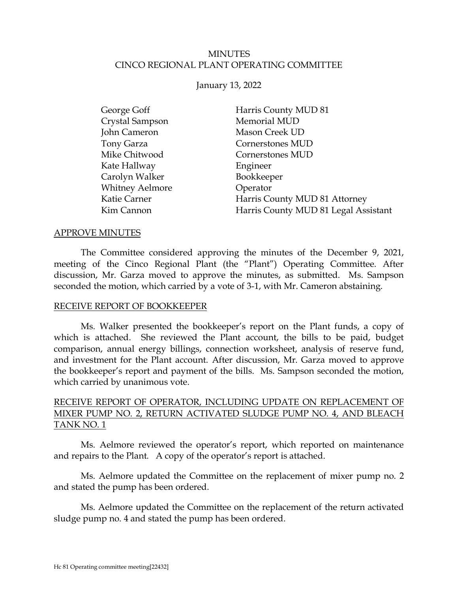## MINUTES CINCO REGIONAL PLANT OPERATING COMMITTEE

### January 13, 2022

| George Goff            | Harris County MUD 81                 |
|------------------------|--------------------------------------|
| Crystal Sampson        | Memorial MUD                         |
| John Cameron           | <b>Mason Creek UD</b>                |
| Tony Garza             | Cornerstones MUD                     |
| Mike Chitwood          | Cornerstones MUD                     |
| Kate Hallway           | Engineer                             |
| Carolyn Walker         | Bookkeeper                           |
| <b>Whitney Aelmore</b> | Operator                             |
| Katie Carner           | Harris County MUD 81 Attorney        |
| Kim Cannon             | Harris County MUD 81 Legal Assistant |

### APPROVE MINUTES

The Committee considered approving the minutes of the December 9, 2021, meeting of the Cinco Regional Plant (the "Plant") Operating Committee. After discussion, Mr. Garza moved to approve the minutes, as submitted. Ms. Sampson seconded the motion, which carried by a vote of 3-1, with Mr. Cameron abstaining.

### RECEIVE REPORT OF BOOKKEEPER

<span id="page-0-0"></span>Ms. Walker presented the bookkeeper's report on the Plant funds, a copy of which is attached. She reviewed the Plant account, the bills to be paid, budget comparison, annual energy billings, connection worksheet, analysis of reserve fund, and investment for the Plant account. After discussion, Mr. Garza moved to approve the bookkeeper's report and payment of the bills. Ms. Sampson seconded the motion, which carried by unanimous vote.

## RECEIVE REPORT OF OPERATOR, INCLUDING UPDATE ON REPLACEMENT OF MIXER PUMP NO. 2, RETURN ACTIVATED SLUDGE PUMP NO. 4, AND BLEACH TANK NO. 1

<span id="page-0-1"></span>Ms. Aelmore reviewed the operator's report, which reported on maintenance and repairs to the Plant. A copy of the operator's report is attached.

Ms. Aelmore updated the Committee on the replacement of mixer pump no. 2 and stated the pump has been ordered.

Ms. Aelmore updated the Committee on the replacement of the return activated sludge pump no. 4 and stated the pump has been ordered.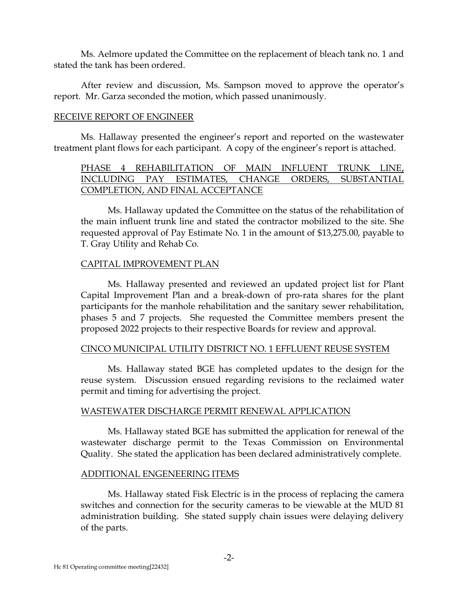Ms. Aelmore updated the Committee on the replacement of bleach tank no. 1 and stated the tank has been ordered.

After review and discussion, Ms. Sampson moved to approve the operator's report. Mr. Garza seconded the motion, which passed unanimously.

### RECEIVE REPORT OF ENGINEER

Ms. Hallaway presented the engineer's report and reported on the wastewater treatment plant flows for each participant. A copy of the engineer's report is attached.

## <span id="page-1-0"></span>PHASE 4 REHABILITATION OF MAIN INFLUENT TRUNK LINE, INCLUDING PAY ESTIMATES, CHANGE ORDERS, SUBSTANTIAL COMPLETION, AND FINAL ACCEPTANCE

Ms. Hallaway updated the Committee on the status of the rehabilitation of the main influent trunk line and stated the contractor mobilized to the site. She requested approval of Pay Estimate No. 1 in the amount of \$13,275.00, payable to T. Gray Utility and Rehab Co.

## CAPITAL IMPROVEMENT PLAN

Ms. Hallaway presented and reviewed an updated project list for Plant Capital Improvement Plan and a break-down of pro-rata shares for the plant participants for the manhole rehabilitation and the sanitary sewer rehabilitation, phases 5 and 7 projects. She requested the Committee members present the proposed 2022 projects to their respective Boards for review and approval.

## CINCO MUNICIPAL UTILITY DISTRICT NO. 1 EFFLUENT REUSE SYSTEM

Ms. Hallaway stated BGE has completed updates to the design for the reuse system. Discussion ensued regarding revisions to the reclaimed water permit and timing for advertising the project.

## WASTEWATER DISCHARGE PERMIT RENEWAL APPLICATION

Ms. Hallaway stated BGE has submitted the application for renewal of the wastewater discharge permit to the Texas Commission on Environmental Quality. She stated the application has been declared administratively complete.

### ADDITIONAL ENGENEERING ITEMS

Ms. Hallaway stated Fisk Electric is in the process of replacing the camera switches and connection for the security cameras to be viewable at the MUD 81 administration building. She stated supply chain issues were delaying delivery of the parts.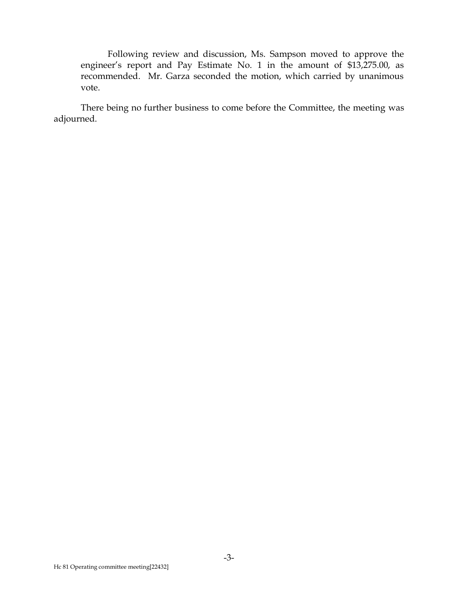Following review and discussion, Ms. Sampson moved to approve the engineer's report and Pay Estimate No. 1 in the amount of \$13,275.00, as recommended. Mr. Garza seconded the motion, which carried by unanimous vote.

There being no further business to come before the Committee, the meeting was adjourned.